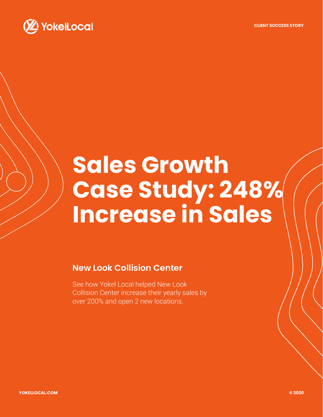**CLIENT SUCCESS STORY**



# **Sales Growth Case Study: 248% Increase in Sales**

### **New Look Collision Center**

See how Yokel Local helped New Look Collision Center increase their yearly sales by over 200% and open 2 new locations.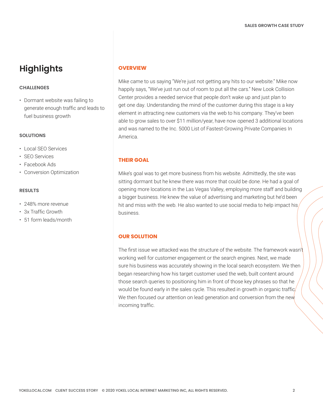## **Highlights**

#### **CHALLENGES**

• Dormant website was failing to generate enough traffic and leads to fuel business growth

#### **SOLUTIONS**

- [Local SEO Services](https://www.yokellocal.com/services/local-search-optimization/)
- [SEO Services](https://www.yokellocal.com/services/facebook-advertising)
- [Facebook Ads](https://www.yokellocal.com/services/facebook-advertising)
- [Conversion Optimization](https://www.yokellocal.com/convert-traffic)

#### **RESULTS**

- 248% more revenue
- 3x Traffic Growth
- 51 form leads/month

#### **OVERVIEW**

Mike came to us saying "We're just not getting any hits to our website." Mike now happily says, "We've just run out of room to put all the cars." New Look Collision Center provides a needed service that people don't wake up and just plan to get one day. Understanding the mind of the customer during this stage is a key element in attracting new customers via the web to his company. They've been able to grow sales to over \$11 million/year, have now opened 3 additional locations and was named to the Inc. 5000 List of Fastest-Growing Private Companies In America.

#### **THEIR GOAL**

Mike's goal was to get more business from his website. Admittedly, the site was sitting dormant but he knew there was more that could be done. He had a goal of opening more locations in the Las Vegas Valley, employing more staff and building a bigger business. He knew the value of advertising and marketing but he'd been hit and miss with the web. He also wanted to use social media to help impact his/ business.

#### **OUR SOLUTION**

The first issue we attacked was the structure of the website. The framework wasn't working well for customer engagement or the search engines. Next, we made sure his business was accurately showing in the local search ecosystem. We then began researching how his target customer used the web, built content around those search queries to positioning him in front of those key phrases so that he would be found early in the sales cycle. This resulted in growth in organic traffic We then focused our attention on lead generation and conversion from the new incoming traffic.